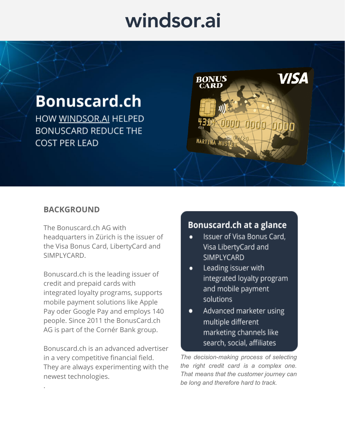## windsor.ai

### **Bonuscard.ch**

HOW WINDSOR.AI HELPED **BONUSCARD REDUCE THE COST PER LEAD** 



### **BACKGROUND**

.

The Bonuscard.ch AG with headquarters in Zürich is the issuer of the Visa Bonus Card, LibertyCard and SIMPLYCARD.

Bonuscard.ch is the leading issuer of credit and prepaid cards with integrated loyalty programs, supports mobile payment solutions like Apple Pay oder Google Pay and employs 140 people. Since 2011 the BonusCard.ch AG is part of the Cornér Bank group.

Bonuscard.ch is an advanced advertiser in a very competitive financial field. They are always experimenting with the newest technologies.

### Bonuscard.ch at a glance

- Issuer of Visa Bonus Card, Visa LibertyCard and SIMPLYCARD
- Leading issuer with  $\bullet$ integrated loyalty program and mobile payment solutions
- Advanced marketer using  $\bullet$ multiple different marketing channels like search, social, affiliates

*The decision-making process of selecting the right credit card is a complex one. That means that the customer journey can be long and therefore hard to track.*